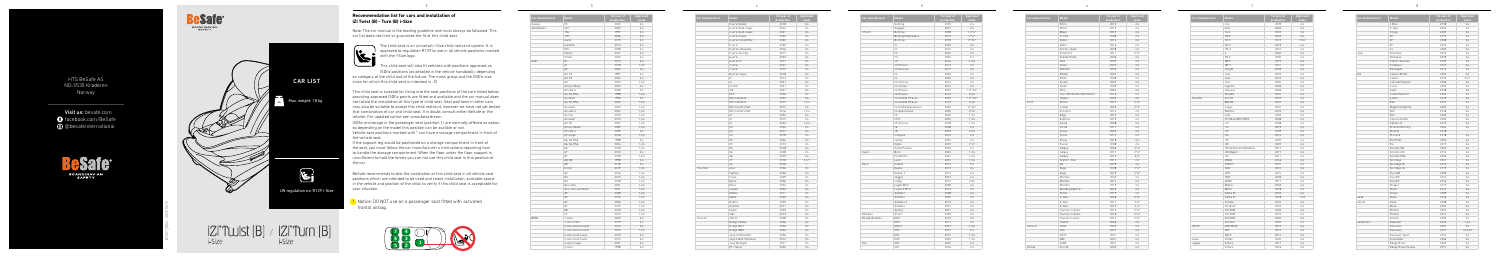**Recommendation list for cars and installation of** 

**iZi Twist (B) - Turn (B) i-Size**



Note: The car manual is the leading guideline and must always be followed. This car list does not limit or guarantee the fit of this child seat.

> The child seat is an universal i-Size child restraint system. It is approved to regulation R129 to use in all vehicle positions marked with the i-Size logo.

This child seat will also fit vehicles with positions approved as ISOfix positions (as detailed in the vehicle handbook), depending

on category of the child and of the fixture. The mass group and the ISOfix size class for which this child seat is intended is : D.

This child seat is suitable for fixing into the seat positions of the cars listed below, providing approved ISOfix points are fitted and available and the car manual does not forbid the installation of this type of child seat. Seat positions in other cars may also be suitable to accept this child restraint, however we have not yet tested that combination of car and child seat. If in doubt, consult either BeSafe or the retailer. For updated carlist see: www.besafe.com

ISOfix anchorage in the passenger seat (position 1) are normally offered as option, so depending on the model this position can be availble or not.

Vehicle seat positions marked with \* can have a storage compartment in front of the vehicle seat.

If the support leg would be positioned on a storage compartment in front of the seat, you must follow the car manufacturer's instructions regarding how to handle the storage compartment. When the floor under the floor support is unsufficient to hold the forces you can not use this child seat in this position of the car.

BeSafe recommends to test the installation of this child seat in all vehicle seat positions which are intended to be used and check installation, available space in the vehicle and position of the child, to verify if this child seat is acceptable for your situation.

| Car manufacturer | Model                | 1st year of<br>production | Approved<br>seats |
|------------------|----------------------|---------------------------|-------------------|
|                  | 3 serie Sedan        | 2018                      | 2.4               |
|                  | 4 serie Gran coupe   | 2014                      | 2.4               |
|                  | 4 serie Gran coupe   | 2021                      | 2,4               |
|                  | 4 serie Coupe        | 2020                      | 2,4               |
|                  | 4 serie Convertible  | 2020                      | 2,4               |
|                  | 5 serie              | 2000                      | 2.4               |
|                  | 5 serie Limousine    | 2016                      | 2.4               |
|                  | 5 serie Touring      | 2017                      | 2,4               |
|                  | 6 serie              | 2003                      | 2,4               |
|                  | 6 serie GT           | 2017                      | 2,4               |
|                  | 7 serie              | 2001                      | 2,4               |
|                  | 7 serie              | 2015                      | 2.4               |
|                  | 8 serie Coupe        | 2018                      | 2,4               |
|                  | i3                   | 2013                      | 2,4               |
|                  | $\vert 4$            | 2021                      | 2,4               |
|                  | iX (i20)             | 2021                      | 2,4               |
|                  | iX3                  | 2021                      | 2.4               |
|                  | Mini                 | 2006                      | 2,4               |
|                  | Mini Clubman         | 2007                      | 2.4               |
|                  | Mini Clubman         | 2015                      | 1,2,4             |
|                  | Mini Countryman      | 2010                      | 2,4               |
|                  | Mini Countryman      | 2016                      | 1.2.4             |
|                  | X1                   | 2004                      | 2,4               |
|                  | X1                   | 2015                      | 2,4               |
|                  | X1                   | 2022                      | 1,2,4             |
|                  | X <sub>3</sub>       | 2004                      | 2,4               |
|                  | X <sub>3</sub>       | 2017                      | 2.4               |
|                  | Χ4                   | 2018                      | 2,4               |
|                  | X <sub>5</sub><br>X5 | 2004<br>2013              | 2.4               |
|                  | X <sub>5</sub>       | 2018                      | 2,4<br>2,4        |
|                  | X6                   | 2008                      | 2,4               |
|                  | X6                   | 2019                      | 2,4               |
|                  | X7                   | 2018                      | 2,4,7             |
|                  | Z <sub>4</sub>       | 2018                      | $\mathbf{1}$      |
| Chevrolet        | Aveo                 | 2006                      | 2,4               |
|                  | Captiva              | 2006                      | 2,4               |
|                  | Cruze                | 2009                      | 2,4               |
|                  | Epica                | 2006                      | 2.4               |
|                  | Kalos                | 2002                      | 2,4               |
|                  | Lacetti              | 2004                      | 2,4               |
|                  | Malibu               | 2011                      | 2,4               |
|                  | Matiz                | 2005                      | 2.4               |
|                  | Nubira               | 2009                      | 2.4               |
|                  | Orlando              | 2011                      | 2.4               |
|                  | Spark                | 2009                      | 2,4               |
|                  | Trax                 | 2013                      | 2,4               |
| Chrysler         | 300 CC               | 2008                      | 2.4               |
|                  | Dodge Caliber        | 2006                      | 2.4               |
|                  | Dodge Nitro          | 2006                      | 2,4               |
|                  | Dodge RAM            | 2002                      | 2,4               |
|                  | Jeep Commander       | 2006                      | 2,4               |
|                  | Jeep Grand Cherokee  | 2010                      | 2,4               |
|                  | Jeep Wrangler        | 2011                      | 2.4               |
|                  | PT cruiser           | 2000                      | 2.4               |
|                  |                      |                           |                   |

**!** Notice: DO NOT use on a passenger seat fitted with activated frontal airbag.

| Car manufacturer      | <b>Model</b>         | 1st year of<br>production | Approved<br>seats |
|-----------------------|----------------------|---------------------------|-------------------|
|                       | Sebring              | 2007                      | 2,4               |
|                       | Voyager              | 2001                      | 2.4               |
| Citroën               | Berlingo             | 2008                      | $1, 2^*$ , 4*     |
|                       | Berlingo Multispace  | 2012                      | $2^*4^*$          |
|                       | Berlingo             | 2018                      | $2^*$ , $3, 4^*$  |
|                       | C1                   | 2005                      | 2,4               |
|                       | C1                   | 2014                      | 2.4               |
|                       | C <sub>2</sub>       | 2004                      | 2,4               |
|                       | C <sub>3</sub>       | 2004                      | 2.4               |
|                       | C <sub>3</sub>       | 2016                      | 1.2.4             |
|                       | C3 Picasso           | 2013                      | 2.4               |
|                       | C3 Aircross          | 2017                      | 2,4               |
|                       | C <sub>4</sub>       | 2004                      | 2.4               |
|                       | C <sub>4</sub>       | 2020                      | 2,4               |
|                       | C4 Aircross          | 2012                      | 2.4               |
|                       | C4 Cactus            | 2014                      | 2.4               |
|                       |                      |                           |                   |
|                       | C4 Picasso           | 2007                      | $1,2^*,3,4^*$     |
|                       | C4 Picasso           | 2013                      | 2,3,4             |
|                       | C4 Grande Picasso    | 2007                      | $1,2^*$ , $3,4^*$ |
|                       | C4 Grande Picasso    | 2013                      | 2.3.4             |
|                       | C4 Grand Spacetourer | 2020                      | $2^*$ , $3, 4^*$  |
|                       | C4 Spacetourer       | 2020                      | 2.3.4             |
|                       | C <sub>5</sub>       | 2000                      | 1,2,4             |
|                       | C5X                  | 2022                      | 1,2,4             |
|                       | C5 Aircross          | 2018                      | 1,2,4             |
|                       | C6                   | 2008                      | 2.4               |
|                       | C <sub>8</sub>       | 2003                      | 2,3,4             |
|                       | C-Elysée             | 2012                      | 2.4               |
|                       | Jumpy                | 2004                      | 2,4               |
|                       | Nemo                 | 2007                      | $2^*4^*$          |
|                       | Xsara Picasso        | 2000                      | 2,4               |
| Cupra                 | Born                 | 2022                      | 1,2,4             |
|                       | Formentor            | 2021                      | 1.2.4             |
|                       | Leon                 | 2021                      | 1,2,4             |
| Dacia                 | Dokker               | 2012                      | 2.4               |
|                       | Duster               | 2010                      | 2,4               |
|                       | Duster 2             | 2017                      | 2.4               |
|                       | Jogger               | 2021                      | 2,4               |
|                       | Lodgy                | 2012                      | 2.3.4             |
|                       | Logan MCV            | 2005                      | 2.4               |
|                       | Logan 2 MCV          | 2013                      | 2,4               |
|                       | Sandero              |                           |                   |
|                       |                      | 2008                      | 2,4               |
|                       | Sandero              | 2020                      | 2.4               |
|                       | Sandero 2            | 2013                      | 2,4               |
|                       | Sandero              | 2021                      | 2.4               |
|                       | Spring               | 2021                      | 2.4               |
| Daihatsu              | Sirion               | 2005                      | 2.4               |
| <b>DS Automobiles</b> | DS3                  | 2010                      | 2.4               |
|                       | DS4                  | 2011                      | 2,4               |
|                       | DS4 II               | 2021                      | 1.2.4             |
|                       | DS <sub>5</sub>      | 2012                      | 2.4               |
|                       | DS7                  | 2017                      | 1.2.4             |
|                       | DS9                  | 2022                      | 1,2,4             |
| Fiat                  | 500                  | 2007                      | 2.4               |
|                       |                      |                           |                   |





and the control of the control of <u> Louis Communication de la proprie</u> and the control of the control of and the control of the control of  $\label{eq:2.1} \frac{1}{\sqrt{2\pi}}\left(\frac{1}{\sqrt{2\pi}}\right)^{1/2}\left(\frac{1}{\sqrt{2\pi}}\right)^{1/2}\left(\frac{1}{\sqrt{2\pi}}\right)^{1/2}\left(\frac{1}{\sqrt{2\pi}}\right)^{1/2}\left(\frac{1}{\sqrt{2\pi}}\right)^{1/2}\left(\frac{1}{\sqrt{2\pi}}\right)^{1/2}\left(\frac{1}{\sqrt{2\pi}}\right)^{1/2}\left(\frac{1}{\sqrt{2\pi}}\right)^{1/2}\left(\frac{1}{\sqrt{2\pi}}\right)^{1/2}\left(\frac{1}{\sqrt{$ **Contract Contract Contract Contract** the contract of the contract of the company's company's company's the contract of the contract of **Contract Contract Contract** and the control of the control of **Contract Contract Contract** the control of the control of **Contract Contract Contract Contract Contract Contract** the control of the control of and the control of the control of the control of the control of the the control of the control of the



the company of the company

and the control of the control of **Contract Contract Contract** the control of the control of the control of the con-



| Car manufacturer | Model                 | 1st year of<br>production | Approved<br>seats |
|------------------|-----------------------|---------------------------|-------------------|
| Aiways           | U <sub>5</sub>        | 2020                      | 2,4               |
| Alfa Romeo       | 147                   | 2000                      | 2.4               |
|                  | 156                   | 1997                      | 2,4               |
|                  | 159                   | 2006                      | 2,4               |
|                  | Giulia                | 2015                      | 2.4               |
|                  | Giulietta             | 2010                      | 2,4               |
|                  | Mito                  | 2008                      | 2,4               |
|                  | Stelvio               | 2017                      | 2,4               |
|                  | Tonale                | 2022                      | 2,4               |
| Audi             | A1                    | 2010                      | 2.4               |
|                  | A1                    | 2018                      | 1.2.4             |
|                  | A2                    | 2000                      | 2,4               |
|                  | A3, S3                | 1997                      | 2,4               |
|                  | A3. S3                | 2003                      | 2.4               |
|                  | A <sub>3</sub>        | 2020                      | 1.2.4             |
|                  | A3 sportback          | 2003                      | 2,4               |
|                  | A3 cabrio             | 2008                      | 2.4               |
|                  | A4, S4, RS4           | 1998                      | 1,2,4             |
|                  | A4 avant              | 1996                      | 2.4               |
|                  | A4, S4, RS4           | 2000                      | 1.2.4             |
|                  | A4 avant              | 2000                      | 1,2,4             |
|                  | A4 cabrio             | 2002                      | 1,2,4             |
|                  | A4 imo                | 2015                      | 1,2,4             |
|                  | A4 avant              | 2015                      | 1,2,4             |
|                  | A5. S5                | 2007                      | 1.2.4             |
|                  | A5 sportback          | 2009                      | 1,2,4             |
|                  | A5 cabrio             | 2009                      | 2,4               |
|                  | A5 coupe              | 2016                      | 1.2.4             |
|                  | A6, S6, RS6           | 1998                      | 2,4               |
|                  | A6, S6, RS6           | 2004                      | 1.2.4             |
|                  | A6                    | 2018                      | 1.2.4             |
|                  | A7                    | 2010                      | 2,4               |
|                  | A7                    | 2018                      | 1,2,4             |
|                  | A8. S8                | 1998                      | 2.4               |
|                  | A8                    | 2018                      | 2.4               |
|                  | E-tron                | 2019                      | 1,2,4             |
|                  | Q2                    | 2016                      | 1,2,4             |
|                  | Q3                    | 2010                      | 1, 2, 4           |
|                  | Q3                    | 2018                      | 1,2,4             |
|                  | Q4 e-tron             | 2021                      | 1.2.4             |
|                  | Q4 e-tron sportback   | 2021                      | 1, 2, 4           |
|                  | Q5                    | 2008                      | 1,2,4             |
|                  | Q5                    | 2016                      | 1,2,4             |
|                  | Q7                    | 2006                      | 1,2,4             |
|                  | Q7                    | 2015                      | 1.2.4             |
|                  | Q8                    | 2019                      | 1,2,4             |
|                  | TT                    | 2015                      | 1,2,4             |
| <b>BMW</b>       | 1 serie               | 2005                      | 2,4               |
|                  | 1 serie (F40)         | 2019                      | 2,4               |
|                  | 2 serie Active tourer | 2014                      | 2.4               |
|                  | 2 serie Active tourer | 2022                      | 1.2.4             |
|                  | 2 serie Gran coupe    | 2019                      | 2,4               |
|                  | 2 serie Gran tourer   | 2015                      | 2,4               |
|                  | 2 serie Coupe         | 2021                      | 2.4               |
|                  | 3 serie               | 1998                      | 2,4               |



| 500L<br>2013<br>2,4<br>500 X<br>2015<br>2,4<br>2007<br>2.4<br>Bravo<br>Croma<br>2008<br>2.4<br>2010<br>2,4<br>Doblò<br>2,4<br>Doblò<br>2016<br>Fiorno / Qubo<br>2008<br>2.4<br>Freemont<br>2011<br>$2^*$ .4*<br>Grande Punto<br>2006<br>2,4<br>Idea<br>2003<br>2,4<br>2,4<br>Linea<br>2007<br>2,4<br>Multipla<br>2004<br>Panda<br>2007<br>2,4<br>Punto<br>2,4<br>2008<br>Scudo<br>2007<br>2,4<br>Sedici<br>2009<br>2.4<br>Stilo<br>2004<br>2,4<br>Tipo (SW/Sedan/Hatchback)<br>2016<br>2,4<br>2.4<br>Ulvsse<br>2003<br>Ford<br>B-max<br>2012<br>$2^*4^*$<br>C-max<br>2003<br>$2^*$ .4*<br>Ecosport<br>2014<br>2.4<br>Edge<br>2015<br>2,4<br>2.4<br>Explorer<br>2019<br>Fiesta<br>2008<br>2,4<br>Fiesta<br>2017<br>2,4<br>2004<br>2,4<br>Focus<br>Focus<br>2014<br>2,4<br>Focus<br>2018<br>2,4<br>2008<br>2,4<br>Fusion<br>Galaxy<br>2006<br>$2^*4^*$<br>$2^*$ .4*<br>Galaxy<br>2011<br>Galaxy<br>2015<br>$2.4*$<br>Grand C-max<br>2010<br>2,4<br>2,4<br>Ka<br>2009<br>$2^*4^*$<br>Kuga<br>2008<br>2019<br>$2^*$ , 4 <sup>*</sup><br>Kuga<br>Mondeo<br>2000<br>2,4<br>Mondeo<br>2014<br>2,4<br>Mondeo<br>2019<br>2,4<br>2,4<br>Mustang Mach-E<br>2020<br>Puma<br>2019<br>2,4<br>$2^*4^*$<br>S-max<br>2006<br>S-max<br>$2^*4^*$<br>2011<br>$2, 4*$<br>S-max<br>2015<br>$2^*$ .4*<br>Tourneo Connect<br>2013<br>Tourneo Connect<br>2018<br>$2^*4^*$<br>$2^*4^*$<br>Tourneo Courier<br>2014<br>Transit<br>2006<br>2,4<br>Genesis<br>GV60<br>2022<br>2,4<br>2,4<br>G70<br>2021<br>GV70<br>2021<br>2,4<br>2.4<br>G80<br>2021<br>GV80<br>2021<br>2,4<br>Honda<br>Accord<br>2003<br>2,4 | Car manufacturer | Model | 1st year of | Approv |
|---------------------------------------------------------------------------------------------------------------------------------------------------------------------------------------------------------------------------------------------------------------------------------------------------------------------------------------------------------------------------------------------------------------------------------------------------------------------------------------------------------------------------------------------------------------------------------------------------------------------------------------------------------------------------------------------------------------------------------------------------------------------------------------------------------------------------------------------------------------------------------------------------------------------------------------------------------------------------------------------------------------------------------------------------------------------------------------------------------------------------------------------------------------------------------------------------------------------------------------------------------------------------------------------------------------------------------------------------------------------------------------------------------------------------------------------------------------------------------------------------------------------------------------------------------------------------------|------------------|-------|-------------|--------|
|                                                                                                                                                                                                                                                                                                                                                                                                                                                                                                                                                                                                                                                                                                                                                                                                                                                                                                                                                                                                                                                                                                                                                                                                                                                                                                                                                                                                                                                                                                                                                                                 |                  |       | production  | seats  |
|                                                                                                                                                                                                                                                                                                                                                                                                                                                                                                                                                                                                                                                                                                                                                                                                                                                                                                                                                                                                                                                                                                                                                                                                                                                                                                                                                                                                                                                                                                                                                                                 |                  |       |             |        |
|                                                                                                                                                                                                                                                                                                                                                                                                                                                                                                                                                                                                                                                                                                                                                                                                                                                                                                                                                                                                                                                                                                                                                                                                                                                                                                                                                                                                                                                                                                                                                                                 |                  |       |             |        |
|                                                                                                                                                                                                                                                                                                                                                                                                                                                                                                                                                                                                                                                                                                                                                                                                                                                                                                                                                                                                                                                                                                                                                                                                                                                                                                                                                                                                                                                                                                                                                                                 |                  |       |             |        |
|                                                                                                                                                                                                                                                                                                                                                                                                                                                                                                                                                                                                                                                                                                                                                                                                                                                                                                                                                                                                                                                                                                                                                                                                                                                                                                                                                                                                                                                                                                                                                                                 |                  |       |             |        |
|                                                                                                                                                                                                                                                                                                                                                                                                                                                                                                                                                                                                                                                                                                                                                                                                                                                                                                                                                                                                                                                                                                                                                                                                                                                                                                                                                                                                                                                                                                                                                                                 |                  |       |             |        |
|                                                                                                                                                                                                                                                                                                                                                                                                                                                                                                                                                                                                                                                                                                                                                                                                                                                                                                                                                                                                                                                                                                                                                                                                                                                                                                                                                                                                                                                                                                                                                                                 |                  |       |             |        |
|                                                                                                                                                                                                                                                                                                                                                                                                                                                                                                                                                                                                                                                                                                                                                                                                                                                                                                                                                                                                                                                                                                                                                                                                                                                                                                                                                                                                                                                                                                                                                                                 |                  |       |             |        |
|                                                                                                                                                                                                                                                                                                                                                                                                                                                                                                                                                                                                                                                                                                                                                                                                                                                                                                                                                                                                                                                                                                                                                                                                                                                                                                                                                                                                                                                                                                                                                                                 |                  |       |             |        |
|                                                                                                                                                                                                                                                                                                                                                                                                                                                                                                                                                                                                                                                                                                                                                                                                                                                                                                                                                                                                                                                                                                                                                                                                                                                                                                                                                                                                                                                                                                                                                                                 |                  |       |             |        |
|                                                                                                                                                                                                                                                                                                                                                                                                                                                                                                                                                                                                                                                                                                                                                                                                                                                                                                                                                                                                                                                                                                                                                                                                                                                                                                                                                                                                                                                                                                                                                                                 |                  |       |             |        |
|                                                                                                                                                                                                                                                                                                                                                                                                                                                                                                                                                                                                                                                                                                                                                                                                                                                                                                                                                                                                                                                                                                                                                                                                                                                                                                                                                                                                                                                                                                                                                                                 |                  |       |             |        |
|                                                                                                                                                                                                                                                                                                                                                                                                                                                                                                                                                                                                                                                                                                                                                                                                                                                                                                                                                                                                                                                                                                                                                                                                                                                                                                                                                                                                                                                                                                                                                                                 |                  |       |             |        |
|                                                                                                                                                                                                                                                                                                                                                                                                                                                                                                                                                                                                                                                                                                                                                                                                                                                                                                                                                                                                                                                                                                                                                                                                                                                                                                                                                                                                                                                                                                                                                                                 |                  |       |             |        |
|                                                                                                                                                                                                                                                                                                                                                                                                                                                                                                                                                                                                                                                                                                                                                                                                                                                                                                                                                                                                                                                                                                                                                                                                                                                                                                                                                                                                                                                                                                                                                                                 |                  |       |             |        |
|                                                                                                                                                                                                                                                                                                                                                                                                                                                                                                                                                                                                                                                                                                                                                                                                                                                                                                                                                                                                                                                                                                                                                                                                                                                                                                                                                                                                                                                                                                                                                                                 |                  |       |             |        |
|                                                                                                                                                                                                                                                                                                                                                                                                                                                                                                                                                                                                                                                                                                                                                                                                                                                                                                                                                                                                                                                                                                                                                                                                                                                                                                                                                                                                                                                                                                                                                                                 |                  |       |             |        |
|                                                                                                                                                                                                                                                                                                                                                                                                                                                                                                                                                                                                                                                                                                                                                                                                                                                                                                                                                                                                                                                                                                                                                                                                                                                                                                                                                                                                                                                                                                                                                                                 |                  |       |             |        |
|                                                                                                                                                                                                                                                                                                                                                                                                                                                                                                                                                                                                                                                                                                                                                                                                                                                                                                                                                                                                                                                                                                                                                                                                                                                                                                                                                                                                                                                                                                                                                                                 |                  |       |             |        |
|                                                                                                                                                                                                                                                                                                                                                                                                                                                                                                                                                                                                                                                                                                                                                                                                                                                                                                                                                                                                                                                                                                                                                                                                                                                                                                                                                                                                                                                                                                                                                                                 |                  |       |             |        |
|                                                                                                                                                                                                                                                                                                                                                                                                                                                                                                                                                                                                                                                                                                                                                                                                                                                                                                                                                                                                                                                                                                                                                                                                                                                                                                                                                                                                                                                                                                                                                                                 |                  |       |             |        |
|                                                                                                                                                                                                                                                                                                                                                                                                                                                                                                                                                                                                                                                                                                                                                                                                                                                                                                                                                                                                                                                                                                                                                                                                                                                                                                                                                                                                                                                                                                                                                                                 |                  |       |             |        |
|                                                                                                                                                                                                                                                                                                                                                                                                                                                                                                                                                                                                                                                                                                                                                                                                                                                                                                                                                                                                                                                                                                                                                                                                                                                                                                                                                                                                                                                                                                                                                                                 |                  |       |             |        |
|                                                                                                                                                                                                                                                                                                                                                                                                                                                                                                                                                                                                                                                                                                                                                                                                                                                                                                                                                                                                                                                                                                                                                                                                                                                                                                                                                                                                                                                                                                                                                                                 |                  |       |             |        |
|                                                                                                                                                                                                                                                                                                                                                                                                                                                                                                                                                                                                                                                                                                                                                                                                                                                                                                                                                                                                                                                                                                                                                                                                                                                                                                                                                                                                                                                                                                                                                                                 |                  |       |             |        |
|                                                                                                                                                                                                                                                                                                                                                                                                                                                                                                                                                                                                                                                                                                                                                                                                                                                                                                                                                                                                                                                                                                                                                                                                                                                                                                                                                                                                                                                                                                                                                                                 |                  |       |             |        |
|                                                                                                                                                                                                                                                                                                                                                                                                                                                                                                                                                                                                                                                                                                                                                                                                                                                                                                                                                                                                                                                                                                                                                                                                                                                                                                                                                                                                                                                                                                                                                                                 |                  |       |             |        |
|                                                                                                                                                                                                                                                                                                                                                                                                                                                                                                                                                                                                                                                                                                                                                                                                                                                                                                                                                                                                                                                                                                                                                                                                                                                                                                                                                                                                                                                                                                                                                                                 |                  |       |             |        |
|                                                                                                                                                                                                                                                                                                                                                                                                                                                                                                                                                                                                                                                                                                                                                                                                                                                                                                                                                                                                                                                                                                                                                                                                                                                                                                                                                                                                                                                                                                                                                                                 |                  |       |             |        |
|                                                                                                                                                                                                                                                                                                                                                                                                                                                                                                                                                                                                                                                                                                                                                                                                                                                                                                                                                                                                                                                                                                                                                                                                                                                                                                                                                                                                                                                                                                                                                                                 |                  |       |             |        |
|                                                                                                                                                                                                                                                                                                                                                                                                                                                                                                                                                                                                                                                                                                                                                                                                                                                                                                                                                                                                                                                                                                                                                                                                                                                                                                                                                                                                                                                                                                                                                                                 |                  |       |             |        |
|                                                                                                                                                                                                                                                                                                                                                                                                                                                                                                                                                                                                                                                                                                                                                                                                                                                                                                                                                                                                                                                                                                                                                                                                                                                                                                                                                                                                                                                                                                                                                                                 |                  |       |             |        |
|                                                                                                                                                                                                                                                                                                                                                                                                                                                                                                                                                                                                                                                                                                                                                                                                                                                                                                                                                                                                                                                                                                                                                                                                                                                                                                                                                                                                                                                                                                                                                                                 |                  |       |             |        |
|                                                                                                                                                                                                                                                                                                                                                                                                                                                                                                                                                                                                                                                                                                                                                                                                                                                                                                                                                                                                                                                                                                                                                                                                                                                                                                                                                                                                                                                                                                                                                                                 |                  |       |             |        |
|                                                                                                                                                                                                                                                                                                                                                                                                                                                                                                                                                                                                                                                                                                                                                                                                                                                                                                                                                                                                                                                                                                                                                                                                                                                                                                                                                                                                                                                                                                                                                                                 |                  |       |             |        |
|                                                                                                                                                                                                                                                                                                                                                                                                                                                                                                                                                                                                                                                                                                                                                                                                                                                                                                                                                                                                                                                                                                                                                                                                                                                                                                                                                                                                                                                                                                                                                                                 |                  |       |             |        |
|                                                                                                                                                                                                                                                                                                                                                                                                                                                                                                                                                                                                                                                                                                                                                                                                                                                                                                                                                                                                                                                                                                                                                                                                                                                                                                                                                                                                                                                                                                                                                                                 |                  |       |             |        |
|                                                                                                                                                                                                                                                                                                                                                                                                                                                                                                                                                                                                                                                                                                                                                                                                                                                                                                                                                                                                                                                                                                                                                                                                                                                                                                                                                                                                                                                                                                                                                                                 |                  |       |             |        |
|                                                                                                                                                                                                                                                                                                                                                                                                                                                                                                                                                                                                                                                                                                                                                                                                                                                                                                                                                                                                                                                                                                                                                                                                                                                                                                                                                                                                                                                                                                                                                                                 |                  |       |             |        |
|                                                                                                                                                                                                                                                                                                                                                                                                                                                                                                                                                                                                                                                                                                                                                                                                                                                                                                                                                                                                                                                                                                                                                                                                                                                                                                                                                                                                                                                                                                                                                                                 |                  |       |             |        |
|                                                                                                                                                                                                                                                                                                                                                                                                                                                                                                                                                                                                                                                                                                                                                                                                                                                                                                                                                                                                                                                                                                                                                                                                                                                                                                                                                                                                                                                                                                                                                                                 |                  |       |             |        |
|                                                                                                                                                                                                                                                                                                                                                                                                                                                                                                                                                                                                                                                                                                                                                                                                                                                                                                                                                                                                                                                                                                                                                                                                                                                                                                                                                                                                                                                                                                                                                                                 |                  |       |             |        |
|                                                                                                                                                                                                                                                                                                                                                                                                                                                                                                                                                                                                                                                                                                                                                                                                                                                                                                                                                                                                                                                                                                                                                                                                                                                                                                                                                                                                                                                                                                                                                                                 |                  |       |             |        |
|                                                                                                                                                                                                                                                                                                                                                                                                                                                                                                                                                                                                                                                                                                                                                                                                                                                                                                                                                                                                                                                                                                                                                                                                                                                                                                                                                                                                                                                                                                                                                                                 |                  |       |             |        |
|                                                                                                                                                                                                                                                                                                                                                                                                                                                                                                                                                                                                                                                                                                                                                                                                                                                                                                                                                                                                                                                                                                                                                                                                                                                                                                                                                                                                                                                                                                                                                                                 |                  |       |             |        |
|                                                                                                                                                                                                                                                                                                                                                                                                                                                                                                                                                                                                                                                                                                                                                                                                                                                                                                                                                                                                                                                                                                                                                                                                                                                                                                                                                                                                                                                                                                                                                                                 |                  |       |             |        |
|                                                                                                                                                                                                                                                                                                                                                                                                                                                                                                                                                                                                                                                                                                                                                                                                                                                                                                                                                                                                                                                                                                                                                                                                                                                                                                                                                                                                                                                                                                                                                                                 |                  |       |             |        |
|                                                                                                                                                                                                                                                                                                                                                                                                                                                                                                                                                                                                                                                                                                                                                                                                                                                                                                                                                                                                                                                                                                                                                                                                                                                                                                                                                                                                                                                                                                                                                                                 |                  |       |             |        |
|                                                                                                                                                                                                                                                                                                                                                                                                                                                                                                                                                                                                                                                                                                                                                                                                                                                                                                                                                                                                                                                                                                                                                                                                                                                                                                                                                                                                                                                                                                                                                                                 |                  |       |             |        |
|                                                                                                                                                                                                                                                                                                                                                                                                                                                                                                                                                                                                                                                                                                                                                                                                                                                                                                                                                                                                                                                                                                                                                                                                                                                                                                                                                                                                                                                                                                                                                                                 |                  |       |             |        |
|                                                                                                                                                                                                                                                                                                                                                                                                                                                                                                                                                                                                                                                                                                                                                                                                                                                                                                                                                                                                                                                                                                                                                                                                                                                                                                                                                                                                                                                                                                                                                                                 |                  |       |             |        |
|                                                                                                                                                                                                                                                                                                                                                                                                                                                                                                                                                                                                                                                                                                                                                                                                                                                                                                                                                                                                                                                                                                                                                                                                                                                                                                                                                                                                                                                                                                                                                                                 |                  |       |             |        |
|                                                                                                                                                                                                                                                                                                                                                                                                                                                                                                                                                                                                                                                                                                                                                                                                                                                                                                                                                                                                                                                                                                                                                                                                                                                                                                                                                                                                                                                                                                                                                                                 |                  |       |             |        |
|                                                                                                                                                                                                                                                                                                                                                                                                                                                                                                                                                                                                                                                                                                                                                                                                                                                                                                                                                                                                                                                                                                                                                                                                                                                                                                                                                                                                                                                                                                                                                                                 |                  |       |             |        |
|                                                                                                                                                                                                                                                                                                                                                                                                                                                                                                                                                                                                                                                                                                                                                                                                                                                                                                                                                                                                                                                                                                                                                                                                                                                                                                                                                                                                                                                                                                                                                                                 |                  |       |             |        |
|                                                                                                                                                                                                                                                                                                                                                                                                                                                                                                                                                                                                                                                                                                                                                                                                                                                                                                                                                                                                                                                                                                                                                                                                                                                                                                                                                                                                                                                                                                                                                                                 |                  |       |             |        |
|                                                                                                                                                                                                                                                                                                                                                                                                                                                                                                                                                                                                                                                                                                                                                                                                                                                                                                                                                                                                                                                                                                                                                                                                                                                                                                                                                                                                                                                                                                                                                                                 |                  |       |             |        |
|                                                                                                                                                                                                                                                                                                                                                                                                                                                                                                                                                                                                                                                                                                                                                                                                                                                                                                                                                                                                                                                                                                                                                                                                                                                                                                                                                                                                                                                                                                                                                                                 |                  |       |             |        |

| Model                     | 1st year of<br>production | <b>Approved</b><br>seats |
|---------------------------|---------------------------|--------------------------|
| 500 L                     | 2013                      | 2,4                      |
| 500 X                     | 2015                      | 2,4                      |
| Bravo                     | 2007                      | 2,4                      |
| Croma                     | 2008                      | 2,4                      |
| Doblò                     | 2010                      | 2,4                      |
| Doblò                     | 2016                      | 2.4                      |
|                           | 2008                      | 2.4                      |
| Fiorno / Qubo             |                           |                          |
| Freemont                  | 2011                      | $2^*4^*$                 |
| Grande Punto              | 2006                      | 2,4                      |
| Idea                      | 2003                      | 2,4                      |
| Linea                     | 2007                      | 2,4                      |
| Multipla                  | 2004                      | 2,4                      |
| Panda                     | 2007                      | 2,4                      |
| Punto                     | 2008                      | 2.4                      |
| Scudo                     | 2007                      | 2,4                      |
| Sedici                    | 2009                      | 2,4                      |
| Stilo                     | 2004                      | 2,4                      |
| Tipo (SW/Sedan/Hatchback) | 2016                      | 2,4                      |
| Ulysse                    | 2003                      | 2.4                      |
| B-max                     | 2012                      | $2^*$ .4*                |
| C-max                     | 2003                      | $2^*4^*$                 |
| Ecosport                  | 2014                      | 2.4                      |
| Edge                      | 2015                      | 2,4                      |
| Explorer                  | 2019                      | 2,4                      |
| Fiesta                    | 2008                      | 2,4                      |
| Fiesta                    | 2017                      | 2,4                      |
| Focus                     | 2004                      | 2,4                      |
| Focus                     | 2014                      | 2,4                      |
| Focus                     | 2018                      | 2,4                      |
| Fusion                    | 2008                      | 2.4                      |
| Galaxy                    | 2006                      | $2^*4^*$                 |
| Galaxy                    | 2011                      | $2^*$ .4*                |
| Galaxy                    | 2015                      | $2.4*$                   |
| Grand C-max               | 2010                      | 2,4                      |
| Ka                        | 2009                      | 2.4                      |
| Kuga                      | 2008                      | $2^*4^*$                 |
| Kuga                      | 2019                      | $2^*4^*$                 |
| Mondeo                    | 2000                      | 2,4                      |
| Mondeo                    | 2014                      | 2,4                      |
| Mondeo                    | 2019                      | 2,4                      |
| Mustang Mach-E            | 2020                      | 2.4                      |
| Puma                      | 2019                      | 2,4                      |
| S-max                     | 2006                      | $2^*4^*$                 |
| S-max                     | 2011                      | $2^*4^*$                 |
| S-max                     | 2015                      | $2,4*$                   |
| Tourneo Connect           | 2013                      | $2^*$ .4*                |
| Tourneo Connect           | 2018                      | $2^*4^*$                 |
| Tourneo Courier           | 2014                      | $2^*$ .4*                |
| Transit                   | 2006                      | 2.4                      |
| GV60                      | 2022                      | 2,4                      |
| G70                       | 2021                      | 2,4                      |
| GV70                      | 2021                      | 2,4                      |
| G80                       | 2021                      | 2,4                      |
| GV80                      | 2021                      |                          |
|                           |                           | 2,4                      |
| Accord                    | 2003                      | 2,4                      |

B1501\_0804 - 2022 06 15

**Besanival Best Communist SCARGE** 



HTS BeSafe AS NO-3535 Krøderen Norway

Visit us: besafe.com facebook.com/BeSafe @besafeinternational



CAR LIST

Max. weight: 18 kg

UN regulation no. R129 i-Size

 $\overline{\mathbf{R}}$ 

 $\blacksquare$ 

2

3

4

5

6

8

| Car manufacturer | Model                  | 1st year of<br>production | <b>Approved</b><br>seats |
|------------------|------------------------|---------------------------|--------------------------|
|                  | City                   | 2009                      | 2,4                      |
|                  | Civic                  | 2006                      | 2.4                      |
|                  | Civic                  | 2022                      | 2.4                      |
|                  | CR-V                   | 2002                      | 2,4                      |
|                  | CR-V                   | 2012                      | 2,3,4                    |
|                  | CR-V                   | 2019                      | 2.4                      |
|                  | CR-Z                   | 2010                      | 2,4                      |
|                  | e                      | 2020                      | 2.4                      |
|                  | FR-V                   | 2005                      | 2,4                      |
|                  | $HR-V$                 | 2015                      | 2,4                      |
|                  | HR-V                   | 2021                      | 2,4                      |
|                  | Insight                | 2009                      | 2.4                      |
|                  | Jazz                   | 2002                      | 2,4                      |
|                  | Jazz                   | 2015                      | 2,4                      |
|                  | Jazz                   | 2020                      | 2.4                      |
|                  | Legend                 | 2006                      | 2,4                      |
|                  | Odyssey                | 2006                      | 2.4                      |
|                  | Stream                 | 2001                      | 2,4                      |
| Hyundai          | Accent                 | 2002                      | 2,4                      |
|                  | <b>BAYON</b>           | 2021                      | 2.4                      |
|                  | Coupe                  | 2001                      | 2,4                      |
|                  | Elantra                | 2002                      | 2.4                      |
|                  | Getz                   | 2002                      | 2.4                      |
|                  | H1/iMax/i800/H300      | 2008                      | 2,4                      |
|                  |                        |                           |                          |
|                  | i10                    | 2008                      | 2.4                      |
|                  | i10                    | 2019                      | 2.4                      |
|                  | i20                    | 2009                      | 2,4                      |
|                  | i20                    | 2014                      | 2.4                      |
|                  | i20                    | 2020                      | 2,4                      |
|                  | i30                    | 2007                      | 2,4                      |
|                  | i30 Fastback/Hatchback | 2017                      | 2,4                      |
|                  | i30 Wagon              | 2017                      | 2.4                      |
|                  | i40                    | 2011                      | 2.4                      |
|                  | <b>IONIQ</b>           | 2016                      | 2,4                      |
|                  | IONIQ 5                | 2021                      | 2.4                      |
|                  | iX20                   | 2010                      | 2,4                      |
|                  | iX35                   | 2010                      | 2.4                      |
|                  | iX55                   | 2009                      | 2,4                      |
|                  | KONA                   | 2017                      | 2,4                      |
|                  | Matrix                 | 2002                      | 2.4                      |
|                  | <b>NEXO</b>            | 2018                      | 2.4                      |
|                  | Santa Fe               | 2002                      | 2,4                      |
|                  | Santa Fe               | 2018                      | 1.2.4                    |
|                  | Sonata                 | 2001                      | 2,4                      |
|                  | Terracan               | 2002                      | 2.4                      |
|                  | TUCSON                 | 2004                      | 2,4                      |
|                  | <b>TUCSON</b>          | 2015                      | 2,4                      |
|                  | <b>TUCSON</b>          | 2020                      | 2.4                      |
|                  | Veloster               | 2004                      | 2,4                      |
| Infiniti         | Q30/QX30               | 2015                      | 2,4                      |
|                  | Q50                    | 2014                      | 2,4                      |
|                  | QX70                   | 2014                      | 2.4                      |
| Isuzu            |                        |                           |                          |
|                  | D-Max                  | 2020                      | 2,4                      |
| Jaguar           | E-Pace                 | 2017                      | 2.4                      |

| Car manufacturer | Model              | 1st year of<br>production | Approved<br>seats      |
|------------------|--------------------|---------------------------|------------------------|
|                  | I-Pace             | 2018                      | 2,4                    |
|                  | S-type             | 2002                      | 2,4                    |
|                  | X-type             | 2005                      | 2.4                    |
|                  | XE                 | 2015                      | 2,4                    |
|                  | XF                 | 2008                      | 2,4                    |
|                  | XF                 | 2015                      | 2,4                    |
|                  | <b>XJ</b>          | 2003                      | 2.4                    |
| Jeep             | Cherokee           | 2013                      | 2.4                    |
|                  | Cherokee           | 2019                      | 2,4                    |
|                  | Grand Cherokee     | 2022                      | 2,4                    |
|                  | Compass            | 2017                      | 2,4                    |
|                  | Renegade           | 2014                      | 2,4                    |
| Kia              | Carens/Rondo       | 2002                      | 2.4                    |
|                  | Carens             | 2013                      | $2^*$ , 4 <sup>*</sup> |
|                  | Carnival/Sedona    | 2006                      | 2,4                    |
|                  | Cee'd              | 2007                      | 2.4                    |
|                  | Ceed               | 2018                      | 2.4                    |
|                  |                    |                           |                        |
|                  | Cerato/Spectra     | 2004                      | 2,4                    |
|                  | e-Niro             | 2019                      | 2,4                    |
|                  | EV <sub>6</sub>    | 2021                      | 2.4                    |
|                  | Magentis/Optima    | 2002                      | 2.4                    |
|                  | Niro               | 2016                      | 2,4                    |
|                  | Niro               | 2022                      | 2,4                    |
|                  | Opirus/Amanti      | 2003                      | 2,4                    |
|                  | Optima JF          | 2015                      | 2,4                    |
|                  | Picanto/Morning    | 2004                      | 2,4                    |
|                  | Picanto            | 2018                      | u.                     |
|                  | ProCeed            | 2018                      | 2,4                    |
|                  | Rio/Pride          | 2002                      | 2.4                    |
|                  | Rio                | 2017                      | 2,4                    |
|                  | Sorento XM         | 2002                      | 2,4                    |
|                  | Sorento UM         | 2014                      | 2,4                    |
|                  | Sorento MQ4        | 2020                      | 2.4                    |
|                  | Sportage           | 2021                      | 2,4                    |
|                  | Sportage SL        | 2010                      | 2,4                    |
|                  | Sportage QL        | 2015                      | 2,4                    |
|                  | Soul AM            | 2009                      | 2.4                    |
|                  | Soul PS            | 2014                      | 2,4                    |
|                  | Soul EV            | 2014                      | 2,4                    |
|                  | Stinger            | 2017                      | 2,4                    |
|                  | Stonic             | 2017                      | 2,4                    |
|                  | Venga              | 2009                      | 2,4                    |
| Lada             |                    | 2016                      | 2.4                    |
|                  | Vesta              |                           |                        |
| Lancia           | Delta              | 2008                      | 2.4                    |
|                  | Musa               | 2004                      | 2,4                    |
|                  | Phedra             | 2002                      | 2,4                    |
|                  | Thema              | 2011                      | 2.4                    |
|                  | Ypsilon            | 2003                      | 2,4                    |
| Landrover        | Defender           | 2020                      | 1,2,4                  |
|                  | Discovery          | 2001                      | 2,4                    |
|                  | Discovery          | 2017                      | 1,2,4,5,7              |
|                  | Discovery Sport    | 2014                      | 2.4                    |
|                  | Freelander         | 2006                      | 2,4                    |
|                  | Range Rover        | 2002                      | 2,4                    |
|                  | Range Rover Evoque | 2011                      | 2,4                    |